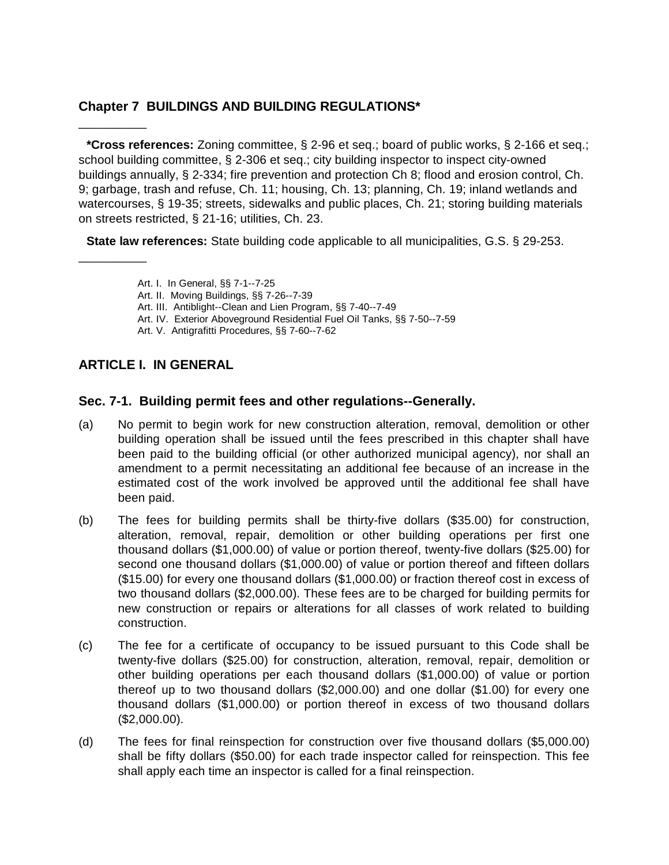# **Chapter 7 BUILDINGS AND BUILDING REGULATIONS\***

**\*Cross references:** Zoning committee, § 2-96 et seq.; board of public works, § 2-166 et seq.; school building committee, § 2-306 et seq.; city building inspector to inspect city-owned buildings annually, § 2-334; fire prevention and protection Ch 8; flood and erosion control, Ch. 9; garbage, trash and refuse, Ch. 11; housing, Ch. 13; planning, Ch. 19; inland wetlands and watercourses, § 19-35; streets, sidewalks and public places, Ch. 21; storing building materials on streets restricted, § 21-16; utilities, Ch. 23.

**State law references:** State building code applicable to all municipalities, G.S. § 29-253.

Art. I. In General, §§ 7-1--7-25

- Art. II. Moving Buildings, §§ 7-26--7-39
- Art. III. Antiblight--Clean and Lien Program, §§ 7-40--7-49
- Art. IV. Exterior Aboveground Residential Fuel Oil Tanks, §§ 7-50--7-59
- Art. V. Antigrafitti Procedures, §§ 7-60--7-62

# **ARTICLE I. IN GENERAL**

\_\_\_\_\_\_\_\_\_\_

\_\_\_\_\_\_\_\_\_\_

## **Sec. 7-1. Building permit fees and other regulations--Generally.**

- (a) No permit to begin work for new construction alteration, removal, demolition or other building operation shall be issued until the fees prescribed in this chapter shall have been paid to the building official (or other authorized municipal agency), nor shall an amendment to a permit necessitating an additional fee because of an increase in the estimated cost of the work involved be approved until the additional fee shall have been paid.
- (b) The fees for building permits shall be thirty-five dollars (\$35.00) for construction, alteration, removal, repair, demolition or other building operations per first one thousand dollars (\$1,000.00) of value or portion thereof, twenty-five dollars (\$25.00) for second one thousand dollars (\$1,000.00) of value or portion thereof and fifteen dollars (\$15.00) for every one thousand dollars (\$1,000.00) or fraction thereof cost in excess of two thousand dollars (\$2,000.00). These fees are to be charged for building permits for new construction or repairs or alterations for all classes of work related to building construction.
- (c) The fee for a certificate of occupancy to be issued pursuant to this Code shall be twenty-five dollars (\$25.00) for construction, alteration, removal, repair, demolition or other building operations per each thousand dollars (\$1,000.00) of value or portion thereof up to two thousand dollars (\$2,000.00) and one dollar (\$1.00) for every one thousand dollars (\$1,000.00) or portion thereof in excess of two thousand dollars (\$2,000.00).
- (d) The fees for final reinspection for construction over five thousand dollars (\$5,000.00) shall be fifty dollars (\$50.00) for each trade inspector called for reinspection. This fee shall apply each time an inspector is called for a final reinspection.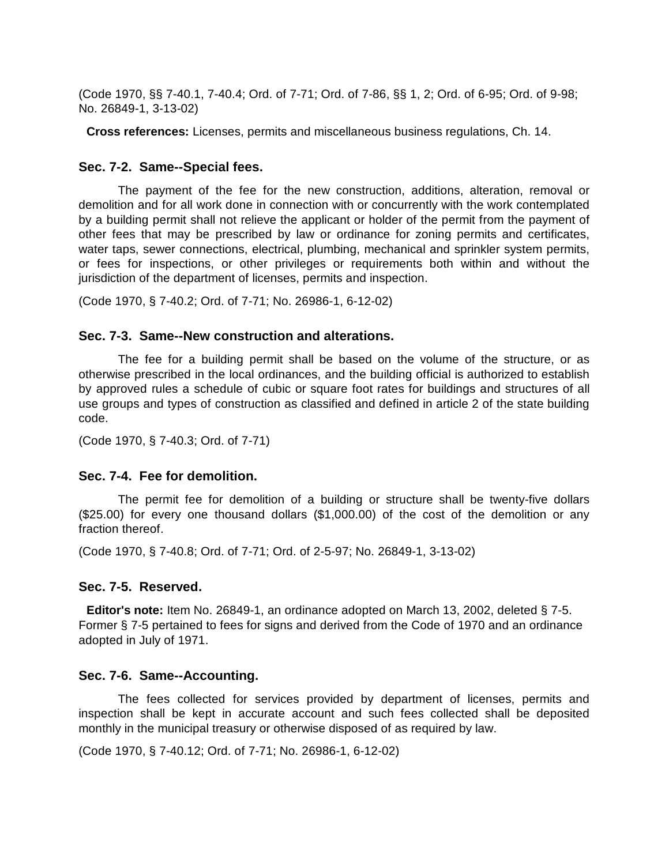(Code 1970, §§ 7-40.1, 7-40.4; Ord. of 7-71; Ord. of 7-86, §§ 1, 2; Ord. of 6-95; Ord. of 9-98; No. 26849-1, 3-13-02)

**Cross references:** Licenses, permits and miscellaneous business regulations, Ch. 14.

#### **Sec. 7-2. Same--Special fees.**

The payment of the fee for the new construction, additions, alteration, removal or demolition and for all work done in connection with or concurrently with the work contemplated by a building permit shall not relieve the applicant or holder of the permit from the payment of other fees that may be prescribed by law or ordinance for zoning permits and certificates, water taps, sewer connections, electrical, plumbing, mechanical and sprinkler system permits, or fees for inspections, or other privileges or requirements both within and without the jurisdiction of the department of licenses, permits and inspection.

(Code 1970, § 7-40.2; Ord. of 7-71; No. 26986-1, 6-12-02)

#### **Sec. 7-3. Same--New construction and alterations.**

The fee for a building permit shall be based on the volume of the structure, or as otherwise prescribed in the local ordinances, and the building official is authorized to establish by approved rules a schedule of cubic or square foot rates for buildings and structures of all use groups and types of construction as classified and defined in article 2 of the state building code.

(Code 1970, § 7-40.3; Ord. of 7-71)

#### **Sec. 7-4. Fee for demolition.**

The permit fee for demolition of a building or structure shall be twenty-five dollars (\$25.00) for every one thousand dollars (\$1,000.00) of the cost of the demolition or any fraction thereof.

(Code 1970, § 7-40.8; Ord. of 7-71; Ord. of 2-5-97; No. 26849-1, 3-13-02)

#### **Sec. 7-5. Reserved.**

**Editor's note:** Item No. 26849-1, an ordinance adopted on March 13, 2002, deleted § 7-5. Former § 7-5 pertained to fees for signs and derived from the Code of 1970 and an ordinance adopted in July of 1971.

#### **Sec. 7-6. Same--Accounting.**

The fees collected for services provided by department of licenses, permits and inspection shall be kept in accurate account and such fees collected shall be deposited monthly in the municipal treasury or otherwise disposed of as required by law.

(Code 1970, § 7-40.12; Ord. of 7-71; No. 26986-1, 6-12-02)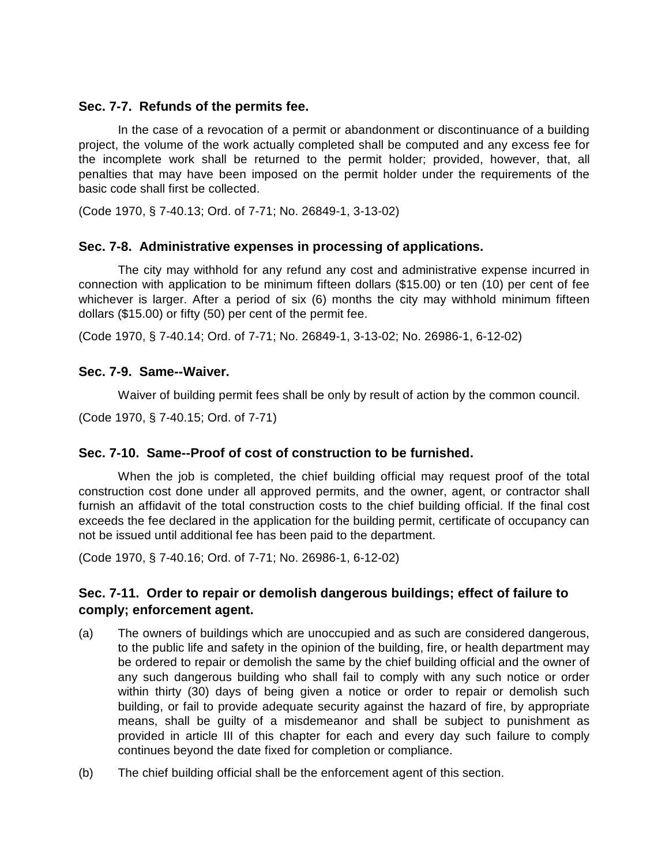## **Sec. 7-7. Refunds of the permits fee.**

In the case of a revocation of a permit or abandonment or discontinuance of a building project, the volume of the work actually completed shall be computed and any excess fee for the incomplete work shall be returned to the permit holder; provided, however, that, all penalties that may have been imposed on the permit holder under the requirements of the basic code shall first be collected.

(Code 1970, § 7-40.13; Ord. of 7-71; No. 26849-1, 3-13-02)

## **Sec. 7-8. Administrative expenses in processing of applications.**

The city may withhold for any refund any cost and administrative expense incurred in connection with application to be minimum fifteen dollars (\$15.00) or ten (10) per cent of fee whichever is larger. After a period of six (6) months the city may withhold minimum fifteen dollars (\$15.00) or fifty (50) per cent of the permit fee.

(Code 1970, § 7-40.14; Ord. of 7-71; No. 26849-1, 3-13-02; No. 26986-1, 6-12-02)

## **Sec. 7-9. Same--Waiver.**

Waiver of building permit fees shall be only by result of action by the common council.

(Code 1970, § 7-40.15; Ord. of 7-71)

# **Sec. 7-10. Same--Proof of cost of construction to be furnished.**

When the job is completed, the chief building official may request proof of the total construction cost done under all approved permits, and the owner, agent, or contractor shall furnish an affidavit of the total construction costs to the chief building official. If the final cost exceeds the fee declared in the application for the building permit, certificate of occupancy can not be issued until additional fee has been paid to the department.

(Code 1970, § 7-40.16; Ord. of 7-71; No. 26986-1, 6-12-02)

# **Sec. 7-11. Order to repair or demolish dangerous buildings; effect of failure to comply; enforcement agent.**

- (a) The owners of buildings which are unoccupied and as such are considered dangerous, to the public life and safety in the opinion of the building, fire, or health department may be ordered to repair or demolish the same by the chief building official and the owner of any such dangerous building who shall fail to comply with any such notice or order within thirty (30) days of being given a notice or order to repair or demolish such building, or fail to provide adequate security against the hazard of fire, by appropriate means, shall be guilty of a misdemeanor and shall be subject to punishment as provided in article III of this chapter for each and every day such failure to comply continues beyond the date fixed for completion or compliance.
- (b) The chief building official shall be the enforcement agent of this section.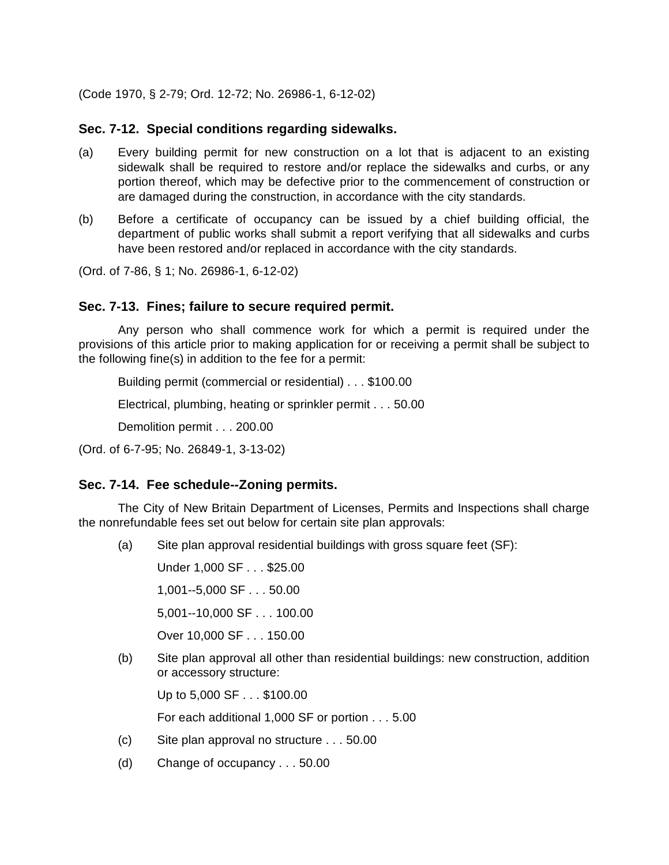(Code 1970, § 2-79; Ord. 12-72; No. 26986-1, 6-12-02)

#### **Sec. 7-12. Special conditions regarding sidewalks.**

- (a) Every building permit for new construction on a lot that is adjacent to an existing sidewalk shall be required to restore and/or replace the sidewalks and curbs, or any portion thereof, which may be defective prior to the commencement of construction or are damaged during the construction, in accordance with the city standards.
- (b) Before a certificate of occupancy can be issued by a chief building official, the department of public works shall submit a report verifying that all sidewalks and curbs have been restored and/or replaced in accordance with the city standards.

(Ord. of 7-86, § 1; No. 26986-1, 6-12-02)

#### **Sec. 7-13. Fines; failure to secure required permit.**

Any person who shall commence work for which a permit is required under the provisions of this article prior to making application for or receiving a permit shall be subject to the following fine(s) in addition to the fee for a permit:

Building permit (commercial or residential) . . . \$100.00

Electrical, plumbing, heating or sprinkler permit . . . 50.00

Demolition permit . . . 200.00

(Ord. of 6-7-95; No. 26849-1, 3-13-02)

#### **Sec. 7-14. Fee schedule--Zoning permits.**

The City of New Britain Department of Licenses, Permits and Inspections shall charge the nonrefundable fees set out below for certain site plan approvals:

(a) Site plan approval residential buildings with gross square feet (SF):

Under 1,000 SF . . . \$25.00

1,001--5,000 SF . . . 50.00

5,001--10,000 SF . . . 100.00

Over 10,000 SF . . . 150.00

(b) Site plan approval all other than residential buildings: new construction, addition or accessory structure:

Up to 5,000 SF . . . \$100.00

For each additional 1,000 SF or portion . . . 5.00

- (c) Site plan approval no structure . . . 50.00
- (d) Change of occupancy . . . 50.00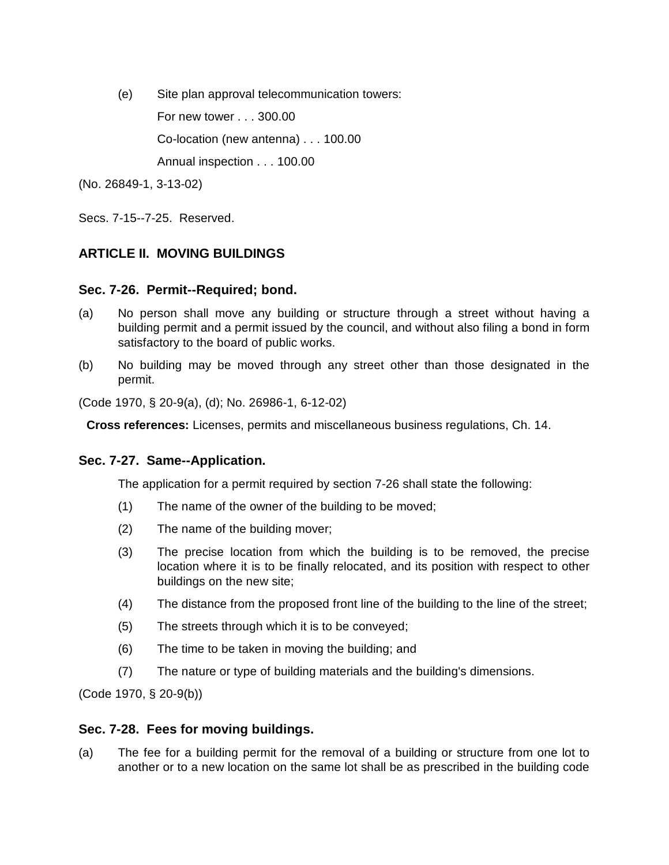(e) Site plan approval telecommunication towers:

For new tower . . . 300.00

Co-location (new antenna) . . . 100.00

Annual inspection . . . 100.00

(No. 26849-1, 3-13-02)

Secs. 7-15--7-25. Reserved.

# **ARTICLE II. MOVING BUILDINGS**

## **Sec. 7-26. Permit--Required; bond.**

- (a) No person shall move any building or structure through a street without having a building permit and a permit issued by the council, and without also filing a bond in form satisfactory to the board of public works.
- (b) No building may be moved through any street other than those designated in the permit.

(Code 1970, § 20-9(a), (d); No. 26986-1, 6-12-02)

**Cross references:** Licenses, permits and miscellaneous business regulations, Ch. 14.

#### **Sec. 7-27. Same--Application.**

The application for a permit required by section 7-26 shall state the following:

- (1) The name of the owner of the building to be moved;
- (2) The name of the building mover;
- (3) The precise location from which the building is to be removed, the precise location where it is to be finally relocated, and its position with respect to other buildings on the new site;
- (4) The distance from the proposed front line of the building to the line of the street;
- (5) The streets through which it is to be conveyed;
- (6) The time to be taken in moving the building; and
- (7) The nature or type of building materials and the building's dimensions.

(Code 1970, § 20-9(b))

#### **Sec. 7-28. Fees for moving buildings.**

(a) The fee for a building permit for the removal of a building or structure from one lot to another or to a new location on the same lot shall be as prescribed in the building code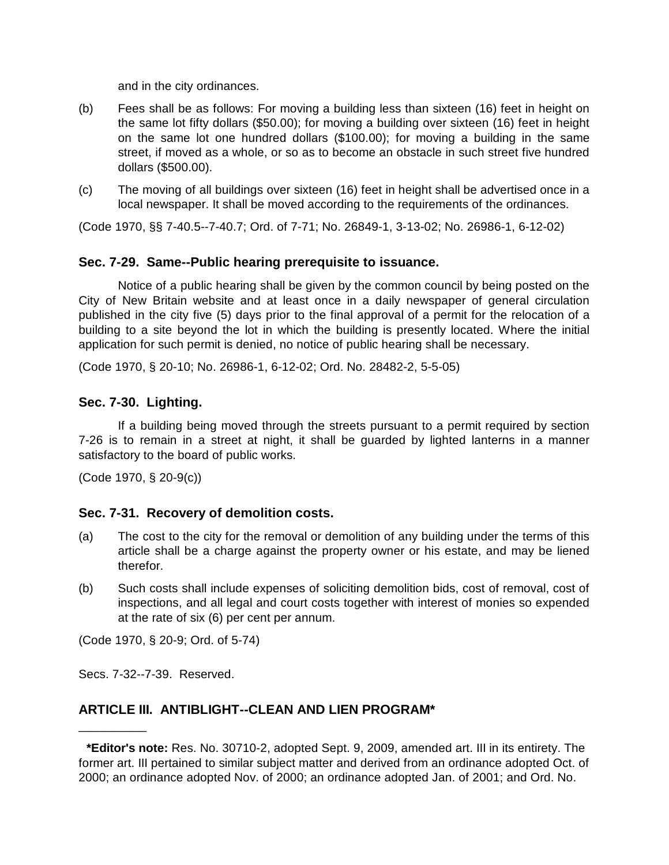and in the city ordinances.

- (b) Fees shall be as follows: For moving a building less than sixteen (16) feet in height on the same lot fifty dollars (\$50.00); for moving a building over sixteen (16) feet in height on the same lot one hundred dollars (\$100.00); for moving a building in the same street, if moved as a whole, or so as to become an obstacle in such street five hundred dollars (\$500.00).
- (c) The moving of all buildings over sixteen (16) feet in height shall be advertised once in a local newspaper. It shall be moved according to the requirements of the ordinances.

(Code 1970, §§ 7-40.5--7-40.7; Ord. of 7-71; No. 26849-1, 3-13-02; No. 26986-1, 6-12-02)

## **Sec. 7-29. Same--Public hearing prerequisite to issuance.**

Notice of a public hearing shall be given by the common council by being posted on the City of New Britain website and at least once in a daily newspaper of general circulation published in the city five (5) days prior to the final approval of a permit for the relocation of a building to a site beyond the lot in which the building is presently located. Where the initial application for such permit is denied, no notice of public hearing shall be necessary.

(Code 1970, § 20-10; No. 26986-1, 6-12-02; Ord. No. 28482-2, 5-5-05)

# **Sec. 7-30. Lighting.**

If a building being moved through the streets pursuant to a permit required by section 7-26 is to remain in a street at night, it shall be guarded by lighted lanterns in a manner satisfactory to the board of public works.

(Code 1970, § 20-9(c))

# **Sec. 7-31. Recovery of demolition costs.**

- (a) The cost to the city for the removal or demolition of any building under the terms of this article shall be a charge against the property owner or his estate, and may be liened therefor.
- (b) Such costs shall include expenses of soliciting demolition bids, cost of removal, cost of inspections, and all legal and court costs together with interest of monies so expended at the rate of six (6) per cent per annum.

(Code 1970, § 20-9; Ord. of 5-74)

Secs. 7-32--7-39. Reserved.

\_\_\_\_\_\_\_\_\_\_

# **ARTICLE III. ANTIBLIGHT--CLEAN AND LIEN PROGRAM\***

**<sup>\*</sup>Editor's note:** Res. No. 30710-2, adopted Sept. 9, 2009, amended art. III in its entirety. The former art. III pertained to similar subject matter and derived from an ordinance adopted Oct. of 2000; an ordinance adopted Nov. of 2000; an ordinance adopted Jan. of 2001; and Ord. No.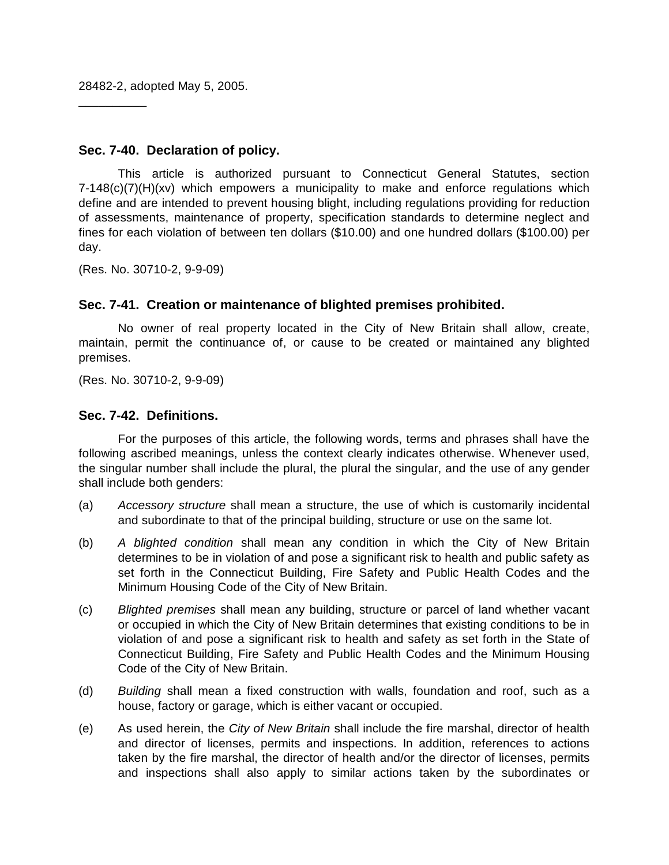28482-2, adopted May 5, 2005.

\_\_\_\_\_\_\_\_\_\_

### **Sec. 7-40. Declaration of policy.**

This article is authorized pursuant to Connecticut General Statutes, section  $7-148(c)(7)(H)(xv)$  which empowers a municipality to make and enforce regulations which define and are intended to prevent housing blight, including regulations providing for reduction of assessments, maintenance of property, specification standards to determine neglect and fines for each violation of between ten dollars (\$10.00) and one hundred dollars (\$100.00) per day.

(Res. No. 30710-2, 9-9-09)

## **Sec. 7-41. Creation or maintenance of blighted premises prohibited.**

No owner of real property located in the City of New Britain shall allow, create, maintain, permit the continuance of, or cause to be created or maintained any blighted premises.

(Res. No. 30710-2, 9-9-09)

#### **Sec. 7-42. Definitions.**

For the purposes of this article, the following words, terms and phrases shall have the following ascribed meanings, unless the context clearly indicates otherwise. Whenever used, the singular number shall include the plural, the plural the singular, and the use of any gender shall include both genders:

- (a) *Accessory structure* shall mean a structure, the use of which is customarily incidental and subordinate to that of the principal building, structure or use on the same lot.
- (b) *A blighted condition* shall mean any condition in which the City of New Britain determines to be in violation of and pose a significant risk to health and public safety as set forth in the Connecticut Building, Fire Safety and Public Health Codes and the Minimum Housing Code of the City of New Britain.
- (c) *Blighted premises* shall mean any building, structure or parcel of land whether vacant or occupied in which the City of New Britain determines that existing conditions to be in violation of and pose a significant risk to health and safety as set forth in the State of Connecticut Building, Fire Safety and Public Health Codes and the Minimum Housing Code of the City of New Britain.
- (d) *Building* shall mean a fixed construction with walls, foundation and roof, such as a house, factory or garage, which is either vacant or occupied.
- (e) As used herein, the *City of New Britain* shall include the fire marshal, director of health and director of licenses, permits and inspections. In addition, references to actions taken by the fire marshal, the director of health and/or the director of licenses, permits and inspections shall also apply to similar actions taken by the subordinates or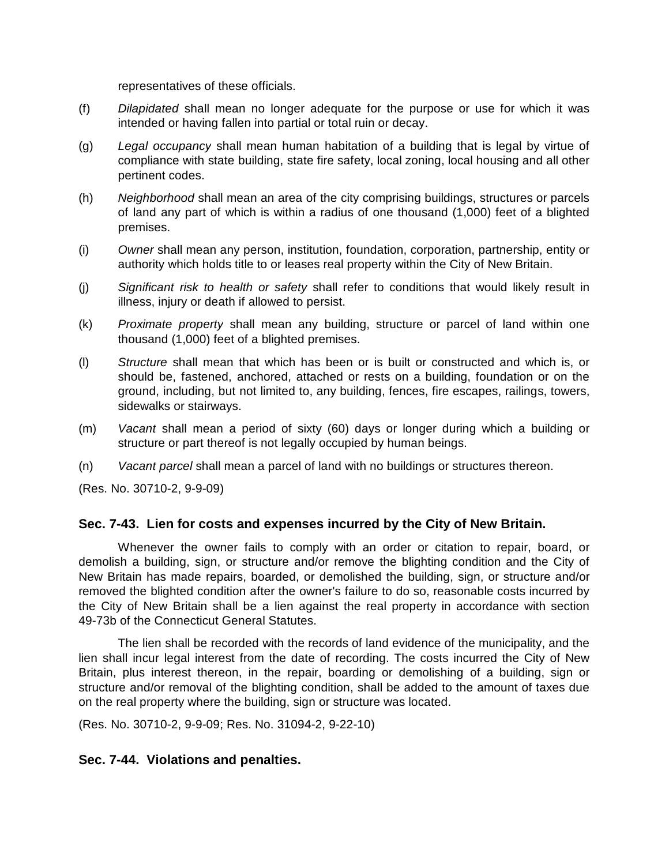representatives of these officials.

- (f) *Dilapidated* shall mean no longer adequate for the purpose or use for which it was intended or having fallen into partial or total ruin or decay.
- (g) *Legal occupancy* shall mean human habitation of a building that is legal by virtue of compliance with state building, state fire safety, local zoning, local housing and all other pertinent codes.
- (h) *Neighborhood* shall mean an area of the city comprising buildings, structures or parcels of land any part of which is within a radius of one thousand (1,000) feet of a blighted premises.
- (i) *Owner* shall mean any person, institution, foundation, corporation, partnership, entity or authority which holds title to or leases real property within the City of New Britain.
- (j) *Significant risk to health or safety* shall refer to conditions that would likely result in illness, injury or death if allowed to persist.
- (k) *Proximate property* shall mean any building, structure or parcel of land within one thousand (1,000) feet of a blighted premises.
- (l) *Structure* shall mean that which has been or is built or constructed and which is, or should be, fastened, anchored, attached or rests on a building, foundation or on the ground, including, but not limited to, any building, fences, fire escapes, railings, towers, sidewalks or stairways.
- (m) *Vacant* shall mean a period of sixty (60) days or longer during which a building or structure or part thereof is not legally occupied by human beings.
- (n) *Vacant parcel* shall mean a parcel of land with no buildings or structures thereon.

(Res. No. 30710-2, 9-9-09)

#### **Sec. 7-43. Lien for costs and expenses incurred by the City of New Britain.**

Whenever the owner fails to comply with an order or citation to repair, board, or demolish a building, sign, or structure and/or remove the blighting condition and the City of New Britain has made repairs, boarded, or demolished the building, sign, or structure and/or removed the blighted condition after the owner's failure to do so, reasonable costs incurred by the City of New Britain shall be a lien against the real property in accordance with section 49-73b of the Connecticut General Statutes.

The lien shall be recorded with the records of land evidence of the municipality, and the lien shall incur legal interest from the date of recording. The costs incurred the City of New Britain, plus interest thereon, in the repair, boarding or demolishing of a building, sign or structure and/or removal of the blighting condition, shall be added to the amount of taxes due on the real property where the building, sign or structure was located.

(Res. No. 30710-2, 9-9-09; Res. No. 31094-2, 9-22-10)

#### **Sec. 7-44. Violations and penalties.**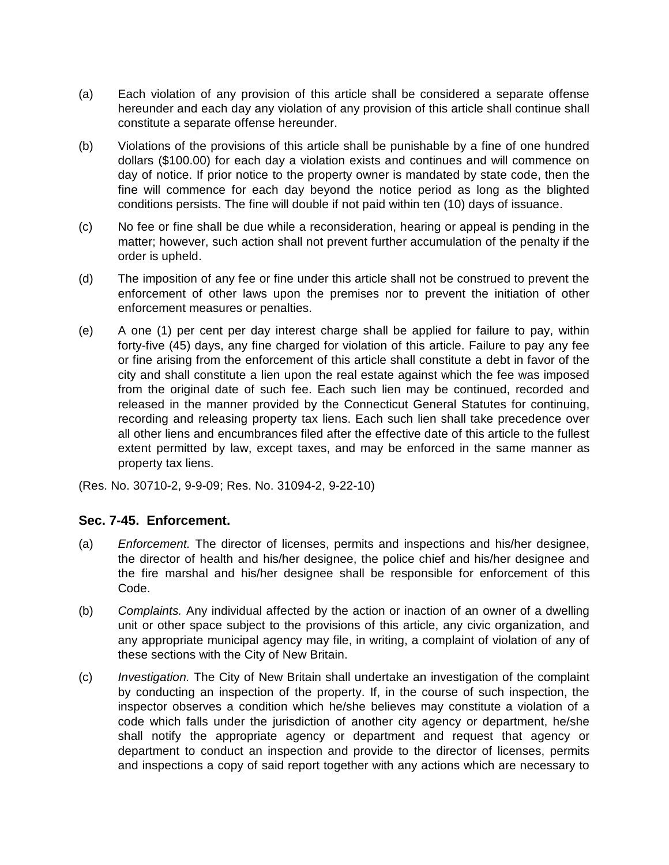- (a) Each violation of any provision of this article shall be considered a separate offense hereunder and each day any violation of any provision of this article shall continue shall constitute a separate offense hereunder.
- (b) Violations of the provisions of this article shall be punishable by a fine of one hundred dollars (\$100.00) for each day a violation exists and continues and will commence on day of notice. If prior notice to the property owner is mandated by state code, then the fine will commence for each day beyond the notice period as long as the blighted conditions persists. The fine will double if not paid within ten (10) days of issuance.
- (c) No fee or fine shall be due while a reconsideration, hearing or appeal is pending in the matter; however, such action shall not prevent further accumulation of the penalty if the order is upheld.
- (d) The imposition of any fee or fine under this article shall not be construed to prevent the enforcement of other laws upon the premises nor to prevent the initiation of other enforcement measures or penalties.
- (e) A one (1) per cent per day interest charge shall be applied for failure to pay, within forty-five (45) days, any fine charged for violation of this article. Failure to pay any fee or fine arising from the enforcement of this article shall constitute a debt in favor of the city and shall constitute a lien upon the real estate against which the fee was imposed from the original date of such fee. Each such lien may be continued, recorded and released in the manner provided by the Connecticut General Statutes for continuing, recording and releasing property tax liens. Each such lien shall take precedence over all other liens and encumbrances filed after the effective date of this article to the fullest extent permitted by law, except taxes, and may be enforced in the same manner as property tax liens.
- (Res. No. 30710-2, 9-9-09; Res. No. 31094-2, 9-22-10)

#### **Sec. 7-45. Enforcement.**

- (a) *Enforcement.* The director of licenses, permits and inspections and his/her designee, the director of health and his/her designee, the police chief and his/her designee and the fire marshal and his/her designee shall be responsible for enforcement of this Code.
- (b) *Complaints.* Any individual affected by the action or inaction of an owner of a dwelling unit or other space subject to the provisions of this article, any civic organization, and any appropriate municipal agency may file, in writing, a complaint of violation of any of these sections with the City of New Britain.
- (c) *Investigation.* The City of New Britain shall undertake an investigation of the complaint by conducting an inspection of the property. If, in the course of such inspection, the inspector observes a condition which he/she believes may constitute a violation of a code which falls under the jurisdiction of another city agency or department, he/she shall notify the appropriate agency or department and request that agency or department to conduct an inspection and provide to the director of licenses, permits and inspections a copy of said report together with any actions which are necessary to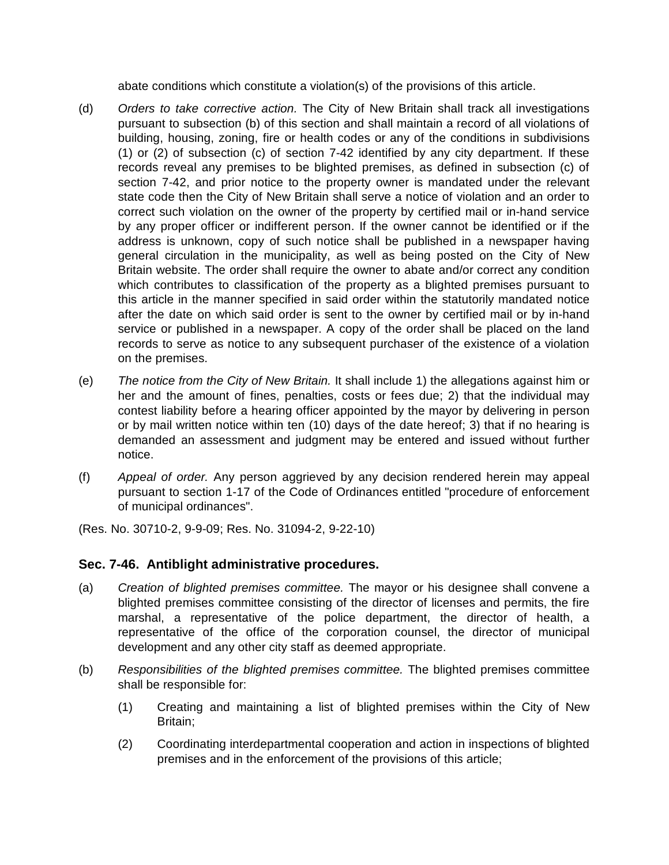abate conditions which constitute a violation(s) of the provisions of this article.

- (d) *Orders to take corrective action.* The City of New Britain shall track all investigations pursuant to subsection (b) of this section and shall maintain a record of all violations of building, housing, zoning, fire or health codes or any of the conditions in subdivisions (1) or (2) of subsection (c) of section 7-42 identified by any city department. If these records reveal any premises to be blighted premises, as defined in subsection (c) of section 7-42, and prior notice to the property owner is mandated under the relevant state code then the City of New Britain shall serve a notice of violation and an order to correct such violation on the owner of the property by certified mail or in-hand service by any proper officer or indifferent person. If the owner cannot be identified or if the address is unknown, copy of such notice shall be published in a newspaper having general circulation in the municipality, as well as being posted on the City of New Britain website. The order shall require the owner to abate and/or correct any condition which contributes to classification of the property as a blighted premises pursuant to this article in the manner specified in said order within the statutorily mandated notice after the date on which said order is sent to the owner by certified mail or by in-hand service or published in a newspaper. A copy of the order shall be placed on the land records to serve as notice to any subsequent purchaser of the existence of a violation on the premises.
- (e) *The notice from the City of New Britain.* It shall include 1) the allegations against him or her and the amount of fines, penalties, costs or fees due; 2) that the individual may contest liability before a hearing officer appointed by the mayor by delivering in person or by mail written notice within ten (10) days of the date hereof; 3) that if no hearing is demanded an assessment and judgment may be entered and issued without further notice.
- (f) *Appeal of order.* Any person aggrieved by any decision rendered herein may appeal pursuant to section 1-17 of the Code of Ordinances entitled "procedure of enforcement of municipal ordinances".

(Res. No. 30710-2, 9-9-09; Res. No. 31094-2, 9-22-10)

# **Sec. 7-46. Antiblight administrative procedures.**

- (a) *Creation of blighted premises committee.* The mayor or his designee shall convene a blighted premises committee consisting of the director of licenses and permits, the fire marshal, a representative of the police department, the director of health, a representative of the office of the corporation counsel, the director of municipal development and any other city staff as deemed appropriate.
- (b) *Responsibilities of the blighted premises committee.* The blighted premises committee shall be responsible for:
	- (1) Creating and maintaining a list of blighted premises within the City of New Britain;
	- (2) Coordinating interdepartmental cooperation and action in inspections of blighted premises and in the enforcement of the provisions of this article;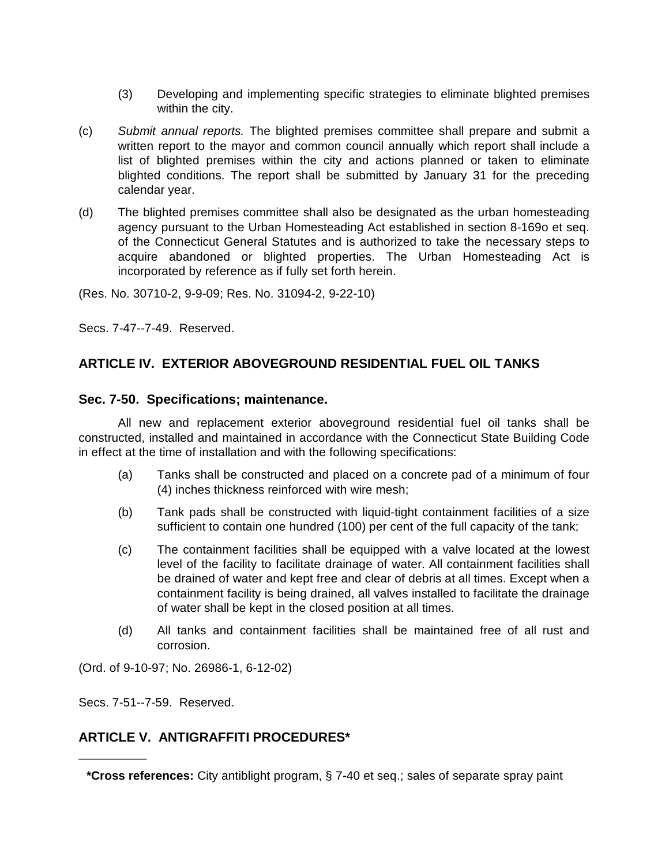- (3) Developing and implementing specific strategies to eliminate blighted premises within the city.
- (c) *Submit annual reports.* The blighted premises committee shall prepare and submit a written report to the mayor and common council annually which report shall include a list of blighted premises within the city and actions planned or taken to eliminate blighted conditions. The report shall be submitted by January 31 for the preceding calendar year.
- (d) The blighted premises committee shall also be designated as the urban homesteading agency pursuant to the Urban Homesteading Act established in section 8-169o et seq. of the Connecticut General Statutes and is authorized to take the necessary steps to acquire abandoned or blighted properties. The Urban Homesteading Act is incorporated by reference as if fully set forth herein.

(Res. No. 30710-2, 9-9-09; Res. No. 31094-2, 9-22-10)

Secs. 7-47--7-49. Reserved.

# **ARTICLE IV. EXTERIOR ABOVEGROUND RESIDENTIAL FUEL OIL TANKS**

#### **Sec. 7-50. Specifications; maintenance.**

All new and replacement exterior aboveground residential fuel oil tanks shall be constructed, installed and maintained in accordance with the Connecticut State Building Code in effect at the time of installation and with the following specifications:

- (a) Tanks shall be constructed and placed on a concrete pad of a minimum of four (4) inches thickness reinforced with wire mesh;
- (b) Tank pads shall be constructed with liquid-tight containment facilities of a size sufficient to contain one hundred (100) per cent of the full capacity of the tank;
- (c) The containment facilities shall be equipped with a valve located at the lowest level of the facility to facilitate drainage of water. All containment facilities shall be drained of water and kept free and clear of debris at all times. Except when a containment facility is being drained, all valves installed to facilitate the drainage of water shall be kept in the closed position at all times.
- (d) All tanks and containment facilities shall be maintained free of all rust and corrosion.

(Ord. of 9-10-97; No. 26986-1, 6-12-02)

Secs. 7-51--7-59. Reserved.

\_\_\_\_\_\_\_\_\_\_

# **ARTICLE V. ANTIGRAFFITI PROCEDURES\***

**<sup>\*</sup>Cross references:** City antiblight program, § 7-40 et seq.; sales of separate spray paint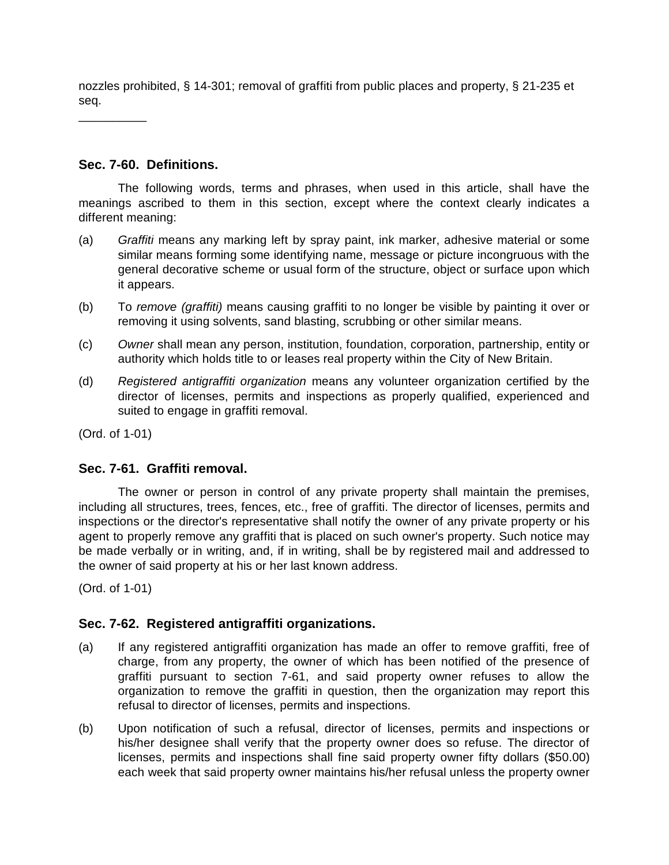nozzles prohibited, § 14-301; removal of graffiti from public places and property, § 21-235 et seq.

\_\_\_\_\_\_\_\_\_\_

# **Sec. 7-60. Definitions.**

The following words, terms and phrases, when used in this article, shall have the meanings ascribed to them in this section, except where the context clearly indicates a different meaning:

- (a) *Graffiti* means any marking left by spray paint, ink marker, adhesive material or some similar means forming some identifying name, message or picture incongruous with the general decorative scheme or usual form of the structure, object or surface upon which it appears.
- (b) To *remove (graffiti)* means causing graffiti to no longer be visible by painting it over or removing it using solvents, sand blasting, scrubbing or other similar means.
- (c) *Owner* shall mean any person, institution, foundation, corporation, partnership, entity or authority which holds title to or leases real property within the City of New Britain.
- (d) *Registered antigraffiti organization* means any volunteer organization certified by the director of licenses, permits and inspections as properly qualified, experienced and suited to engage in graffiti removal.

(Ord. of 1-01)

# **Sec. 7-61. Graffiti removal.**

The owner or person in control of any private property shall maintain the premises, including all structures, trees, fences, etc., free of graffiti. The director of licenses, permits and inspections or the director's representative shall notify the owner of any private property or his agent to properly remove any graffiti that is placed on such owner's property. Such notice may be made verbally or in writing, and, if in writing, shall be by registered mail and addressed to the owner of said property at his or her last known address.

(Ord. of 1-01)

# **Sec. 7-62. Registered antigraffiti organizations.**

- (a) If any registered antigraffiti organization has made an offer to remove graffiti, free of charge, from any property, the owner of which has been notified of the presence of graffiti pursuant to section 7-61, and said property owner refuses to allow the organization to remove the graffiti in question, then the organization may report this refusal to director of licenses, permits and inspections.
- (b) Upon notification of such a refusal, director of licenses, permits and inspections or his/her designee shall verify that the property owner does so refuse. The director of licenses, permits and inspections shall fine said property owner fifty dollars (\$50.00) each week that said property owner maintains his/her refusal unless the property owner